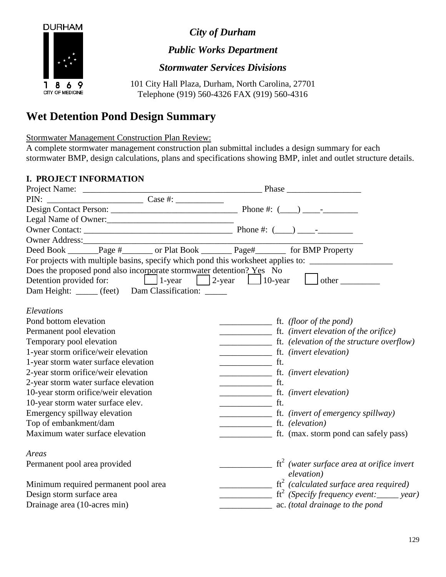

*City of Durham*

*Public Works Department*

*Stormwater Services Divisions*

101 City Hall Plaza, Durham, North Carolina, 27701 Telephone (919) 560-4326 FAX (919) 560-4316

## **Wet Detention Pond Design Summary**

Stormwater Management Construction Plan Review:

A complete stormwater management construction plan submittal includes a design summary for each stormwater BMP, design calculations, plans and specifications showing BMP, inlet and outlet structure details.

## **I. PROJECT INFORMATION**

| Owner Address:                                                                                                                                                                                                                                                                                                                                         |                                                                                                                                                                                                                                                                                                                                                                                                                                   |
|--------------------------------------------------------------------------------------------------------------------------------------------------------------------------------------------------------------------------------------------------------------------------------------------------------------------------------------------------------|-----------------------------------------------------------------------------------------------------------------------------------------------------------------------------------------------------------------------------------------------------------------------------------------------------------------------------------------------------------------------------------------------------------------------------------|
| Deed Book _______Page #_______ or Plat Book ________Page#_________ for BMP Property                                                                                                                                                                                                                                                                    |                                                                                                                                                                                                                                                                                                                                                                                                                                   |
|                                                                                                                                                                                                                                                                                                                                                        | For projects with multiple basins, specify which pond this worksheet applies to: __________________                                                                                                                                                                                                                                                                                                                               |
| Does the proposed pond also incorporate stormwater detention? Yes No<br>Detention provided for: $\boxed{\phantom{2}}$ 1-year $\phantom{2}\boxed{\phantom{2}}$ 2-year $\phantom{2}\boxed{\phantom{2}}$ 10-year $\phantom{2}\boxed{\phantom{2}}$ other $\phantom{2}\phantom{2}\boxed{\phantom{2}}$<br>Dam Height: _____ (feet) Dam Classification: _____ |                                                                                                                                                                                                                                                                                                                                                                                                                                   |
| Elevations                                                                                                                                                                                                                                                                                                                                             |                                                                                                                                                                                                                                                                                                                                                                                                                                   |
| Pond bottom elevation                                                                                                                                                                                                                                                                                                                                  | $\frac{1}{\sqrt{1-\frac{1}{\sqrt{1-\frac{1}{\sqrt{1-\frac{1}{\sqrt{1-\frac{1}{\sqrt{1-\frac{1}{\sqrt{1-\frac{1}{\sqrt{1-\frac{1}{\sqrt{1-\frac{1}{\sqrt{1-\frac{1}{\sqrt{1-\frac{1}{\sqrt{1-\frac{1}{\sqrt{1-\frac{1}{\sqrt{1-\frac{1}{\sqrt{1-\frac{1}{\sqrt{1-\frac{1}{\sqrt{1-\frac{1}{\sqrt{1-\frac{1}{\sqrt{1-\frac{1}{\sqrt{1-\frac{1}{\sqrt{1-\frac{1}{\sqrt{1-\frac{1}{\sqrt{1-\frac{1}{\sqrt{1-\frac{1}{\sqrt{1-\frac{1$ |
| Permanent pool elevation                                                                                                                                                                                                                                                                                                                               |                                                                                                                                                                                                                                                                                                                                                                                                                                   |
| Temporary pool elevation                                                                                                                                                                                                                                                                                                                               |                                                                                                                                                                                                                                                                                                                                                                                                                                   |
| 1-year storm orifice/weir elevation                                                                                                                                                                                                                                                                                                                    | ft. ( <i>invert elevation</i> )                                                                                                                                                                                                                                                                                                                                                                                                   |
| 1-year storm water surface elevation                                                                                                                                                                                                                                                                                                                   | $\frac{1}{\sqrt{1-\frac{1}{2}}}\int_{-\frac{1}{2}}^{\frac{1}{2}}$                                                                                                                                                                                                                                                                                                                                                                 |
| 2-year storm orifice/weir elevation                                                                                                                                                                                                                                                                                                                    |                                                                                                                                                                                                                                                                                                                                                                                                                                   |
| 2-year storm water surface elevation                                                                                                                                                                                                                                                                                                                   | $\frac{1}{\sqrt{1-\frac{1}{2}}}\int_{-\frac{1}{2}}^{\frac{1}{2}}$                                                                                                                                                                                                                                                                                                                                                                 |
| 10-year storm orifice/weir elevation                                                                                                                                                                                                                                                                                                                   | ft. (invert elevation)                                                                                                                                                                                                                                                                                                                                                                                                            |
| 10-year storm water surface elev.                                                                                                                                                                                                                                                                                                                      | $\frac{1}{\sqrt{1-\frac{1}{2}}}\int_{-\frac{1}{2}}^{\frac{1}{2}}\frac{dx}{dx}$                                                                                                                                                                                                                                                                                                                                                    |
| Emergency spillway elevation                                                                                                                                                                                                                                                                                                                           |                                                                                                                                                                                                                                                                                                                                                                                                                                   |
| Top of embankment/dam                                                                                                                                                                                                                                                                                                                                  | ft. (elevation)                                                                                                                                                                                                                                                                                                                                                                                                                   |
| Maximum water surface elevation                                                                                                                                                                                                                                                                                                                        | ft. (max. storm pond can safely pass)                                                                                                                                                                                                                                                                                                                                                                                             |
| Areas                                                                                                                                                                                                                                                                                                                                                  |                                                                                                                                                                                                                                                                                                                                                                                                                                   |
| Permanent pool area provided                                                                                                                                                                                                                                                                                                                           | $\frac{1}{\sqrt{1-x^2}}$ ft <sup>2</sup> (water surface area at orifice invert<br>elevation)                                                                                                                                                                                                                                                                                                                                      |
| Minimum required permanent pool area                                                                                                                                                                                                                                                                                                                   | $\frac{1}{\sqrt{1-\frac{1}{\sqrt{1-\frac{1}{\sqrt{1-\frac{1}{\sqrt{1-\frac{1}{\sqrt{1-\frac{1}{\sqrt{1-\frac{1}{\sqrt{1-\frac{1}{\sqrt{1-\frac{1}{\sqrt{1-\frac{1}{\sqrt{1-\frac{1}{\sqrt{1-\frac{1}{\sqrt{1-\frac{1}{\sqrt{1-\frac{1}{\sqrt{1-\frac{1}{\sqrt{1-\frac{1}{\sqrt{1-\frac{1}{\sqrt{1-\frac{1}{\sqrt{1-\frac{1}{\sqrt{1-\frac{1}{\sqrt{1-\frac{1}{\sqrt{1-\frac{1}{\sqrt{1-\frac{1}{\sqrt{1-\frac{1}{\sqrt{1-\frac{1$ |
| Design storm surface area                                                                                                                                                                                                                                                                                                                              | $f^2$ (Specify frequency event: _____ year)                                                                                                                                                                                                                                                                                                                                                                                       |
| Drainage area (10-acres min)                                                                                                                                                                                                                                                                                                                           | ac. (total drainage to the pond                                                                                                                                                                                                                                                                                                                                                                                                   |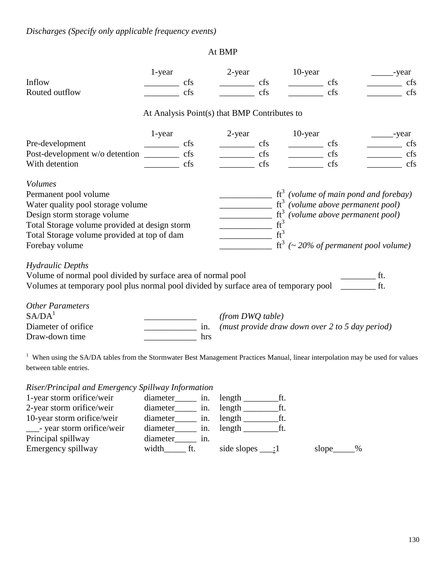## At BMP

|                                                                                                                                            | 1-year                                           |     | 2-year                                       |     | 10-year             |                     | __-year                                                                                                                                                                                                                                                                                                                                                                                                                           |
|--------------------------------------------------------------------------------------------------------------------------------------------|--------------------------------------------------|-----|----------------------------------------------|-----|---------------------|---------------------|-----------------------------------------------------------------------------------------------------------------------------------------------------------------------------------------------------------------------------------------------------------------------------------------------------------------------------------------------------------------------------------------------------------------------------------|
| Inflow                                                                                                                                     |                                                  | cfs |                                              | cfs | $\frac{\ }{\ }$ cfs |                     | cfs                                                                                                                                                                                                                                                                                                                                                                                                                               |
| Routed outflow                                                                                                                             |                                                  | cfs |                                              | cfs |                     | cfs                 | cfs                                                                                                                                                                                                                                                                                                                                                                                                                               |
|                                                                                                                                            |                                                  |     | At Analysis Point(s) that BMP Contributes to |     |                     |                     |                                                                                                                                                                                                                                                                                                                                                                                                                                   |
|                                                                                                                                            | 1-year                                           |     | 2-year                                       |     | 10-year             |                     | year                                                                                                                                                                                                                                                                                                                                                                                                                              |
|                                                                                                                                            |                                                  |     | $\frac{\ }{\ }$ cfs                          |     | $\frac{\ }{\ }$ cfs |                     | $\overline{\phantom{a}}$<br>cfs                                                                                                                                                                                                                                                                                                                                                                                                   |
|                                                                                                                                            |                                                  |     | <u> Liberatura e</u>                         | cfs |                     | $\frac{\ }{\ }$ cfs | cfs                                                                                                                                                                                                                                                                                                                                                                                                                               |
| With detention                                                                                                                             |                                                  | cfs | $\frac{1}{2}$ cfs                            |     |                     | $\frac{1}{2}$ cfs   | $\frac{\ }{}$ cfs                                                                                                                                                                                                                                                                                                                                                                                                                 |
| <b>Volumes</b>                                                                                                                             |                                                  |     |                                              |     |                     |                     |                                                                                                                                                                                                                                                                                                                                                                                                                                   |
| Permanent pool volume                                                                                                                      |                                                  |     |                                              |     |                     |                     | $\frac{1}{\sqrt{1-\frac{1}{\sqrt{1-\frac{1}{\sqrt{1-\frac{1}{\sqrt{1-\frac{1}{\sqrt{1-\frac{1}{\sqrt{1-\frac{1}{\sqrt{1-\frac{1}{\sqrt{1-\frac{1}{\sqrt{1-\frac{1}{\sqrt{1-\frac{1}{\sqrt{1-\frac{1}{\sqrt{1-\frac{1}{\sqrt{1-\frac{1}{\sqrt{1-\frac{1}{\sqrt{1-\frac{1}{\sqrt{1-\frac{1}{\sqrt{1-\frac{1}{\sqrt{1-\frac{1}{\sqrt{1-\frac{1}{\sqrt{1-\frac{1}{\sqrt{1-\frac{1}{\sqrt{1-\frac{1}{\sqrt{1-\frac{1}{\sqrt{1-\frac{1$ |
| Water quality pool storage volume                                                                                                          |                                                  |     |                                              |     |                     |                     | $\frac{1}{\sqrt{1-\frac{1}{\sqrt{1-\frac{1}{\sqrt{1-\frac{1}{\sqrt{1-\frac{1}{\sqrt{1-\frac{1}{\sqrt{1-\frac{1}{\sqrt{1-\frac{1}{\sqrt{1-\frac{1}{\sqrt{1-\frac{1}{\sqrt{1-\frac{1}{\sqrt{1-\frac{1}{\sqrt{1-\frac{1}{\sqrt{1-\frac{1}{\sqrt{1-\frac{1}{\sqrt{1-\frac{1}{\sqrt{1-\frac{1}{\sqrt{1-\frac{1}{\sqrt{1-\frac{1}{\sqrt{1-\frac{1}{\sqrt{1-\frac{1}{\sqrt{1-\frac{1}{\sqrt{1-\frac{1}{\sqrt{1-\frac{1}{\sqrt{1-\frac{1$ |
| Design storm storage volume                                                                                                                |                                                  |     |                                              |     |                     |                     | $\frac{1}{\sqrt{t^3}}$ (volume above permanent pool)<br>$\frac{1}{\sqrt{t^3}}$ (volume above permanent pool)                                                                                                                                                                                                                                                                                                                      |
| Total Storage volume provided at design storm                                                                                              |                                                  |     |                                              |     |                     |                     |                                                                                                                                                                                                                                                                                                                                                                                                                                   |
| Total Storage volume provided at top of dam                                                                                                |                                                  |     | $\frac{1}{\sqrt{t^3}}$                       |     |                     |                     |                                                                                                                                                                                                                                                                                                                                                                                                                                   |
| Forebay volume                                                                                                                             |                                                  |     |                                              |     |                     |                     | $\frac{1}{2}$ ft <sup>3</sup> (~ 20% of permanent pool volume)                                                                                                                                                                                                                                                                                                                                                                    |
| <b>Hydraulic Depths</b>                                                                                                                    |                                                  |     |                                              |     |                     |                     |                                                                                                                                                                                                                                                                                                                                                                                                                                   |
| Volume of normal pool divided by surface area of normal pool                                                                               |                                                  |     |                                              |     |                     |                     | $\frac{1}{\sqrt{1-\frac{1}{2}}}\text{ft}.$                                                                                                                                                                                                                                                                                                                                                                                        |
| Volumes at temporary pool plus normal pool divided by surface area of temporary pool ______                                                |                                                  |     |                                              |     |                     |                     |                                                                                                                                                                                                                                                                                                                                                                                                                                   |
| <b>Other Parameters</b>                                                                                                                    |                                                  |     |                                              |     |                     |                     |                                                                                                                                                                                                                                                                                                                                                                                                                                   |
| S A / D A <sup>1</sup>                                                                                                                     |                                                  |     | (from DWQ table)                             |     |                     |                     |                                                                                                                                                                                                                                                                                                                                                                                                                                   |
| Diameter of orifice                                                                                                                        | $\frac{1}{\sqrt{1-\frac{1}{2}}}\sin \frac{1}{2}$ |     |                                              |     |                     |                     | (must provide draw down over 2 to 5 day period)                                                                                                                                                                                                                                                                                                                                                                                   |
| Draw-down time                                                                                                                             |                                                  | hrs |                                              |     |                     |                     |                                                                                                                                                                                                                                                                                                                                                                                                                                   |
|                                                                                                                                            |                                                  |     |                                              |     |                     |                     |                                                                                                                                                                                                                                                                                                                                                                                                                                   |
| <sup>1</sup> When using the SA/DA tables from the Stormwater Best Management Practices Manual, linear interpolation may be used for values |                                                  |     |                                              |     |                     |                     |                                                                                                                                                                                                                                                                                                                                                                                                                                   |
| between table entries.                                                                                                                     |                                                  |     |                                              |     |                     |                     |                                                                                                                                                                                                                                                                                                                                                                                                                                   |
| Riser/Principal and Emergency Spillway Information                                                                                         |                                                  |     |                                              |     |                     |                     |                                                                                                                                                                                                                                                                                                                                                                                                                                   |
| 1-year storm orifice/weir                                                                                                                  | diameter_______ in.                              |     | $length$ $ft.$                               |     |                     |                     |                                                                                                                                                                                                                                                                                                                                                                                                                                   |
| 2-year storm orifice/weir                                                                                                                  | diameter_______ in.                              |     |                                              |     |                     |                     |                                                                                                                                                                                                                                                                                                                                                                                                                                   |
| 10-year storm orifice/weir                                                                                                                 | diameter in.                                     |     | $length$ $ft.$                               |     |                     |                     |                                                                                                                                                                                                                                                                                                                                                                                                                                   |
| ___- year storm orifice/weir                                                                                                               | diameter_______ in.                              |     |                                              |     |                     |                     |                                                                                                                                                                                                                                                                                                                                                                                                                                   |
| Principal spillway                                                                                                                         | diameter <sub>_____</sub> in.                    |     |                                              |     |                     |                     |                                                                                                                                                                                                                                                                                                                                                                                                                                   |
| Emergency spillway                                                                                                                         | width <sub>________</sub> ft.                    |     | side slopes $\_\_$ :1                        |     |                     | slope_____%         |                                                                                                                                                                                                                                                                                                                                                                                                                                   |
|                                                                                                                                            |                                                  |     |                                              |     |                     |                     |                                                                                                                                                                                                                                                                                                                                                                                                                                   |